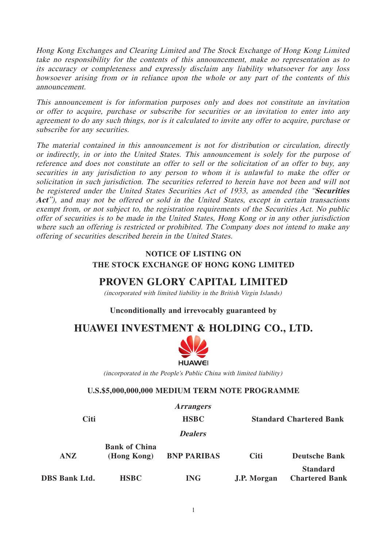Hong Kong Exchanges and Clearing Limited and The Stock Exchange of Hong Kong Limited take no responsibility for the contents of this announcement, make no representation as to its accuracy or completeness and expressly disclaim any liability whatsoever for any loss howsoever arising from or in reliance upon the whole or any part of the contents of this announcement.

This announcement is for information purposes only and does not constitute an invitation or offer to acquire, purchase or subscribe for securities or an invitation to enter into any agreement to do any such things, nor is it calculated to invite any offer to acquire, purchase or subscribe for any securities.

The material contained in this announcement is not for distribution or circulation, directly or indirectly, in or into the United States. This announcement is solely for the purpose of reference and does not constitute an offer to sell or the solicitation of an offer to buy, any securities in any jurisdiction to any person to whom it is unlawful to make the offer or solicitation in such jurisdiction. The securities referred to herein have not been and will not be registered under the United States Securities Act of 1933, as amended (the "**Securities**  Act"), and may not be offered or sold in the United States, except in certain transactions exempt from, or not subject to, the registration requirements of the Securities Act. No public offer of securities is to be made in the United States, Hong Kong or in any other jurisdiction where such an offering is restricted or prohibited. The Company does not intend to make any offering of securities described herein in the United States.

### **NOTICE OF LISTING ON THE STOCK EXCHANGE OF HONG KONG LIMITED**

# **PROVEN GLORY CAPITAL LIMITED**

(incorporated with limited liability in the British Virgin Islands)

### **Unconditionally and irrevocably guaranteed by**

# **HUAWEI INVESTMENT & HOLDING CO., LTD.**



(incorporated in the People's Public China with limited liability)

#### **U.S.\$5,000,000,000 MEDIUM TERM NOTE PROGRAMME**

**Arrangers Citi HSBC Standard Chartered Bank Dealers Bank of China ANZ (Hong Kong) BNP PARIBAS Citi Deutsche Bank Standard DBS Bank Ltd. HSBC ING J.P. Morgan Chartered Bank**